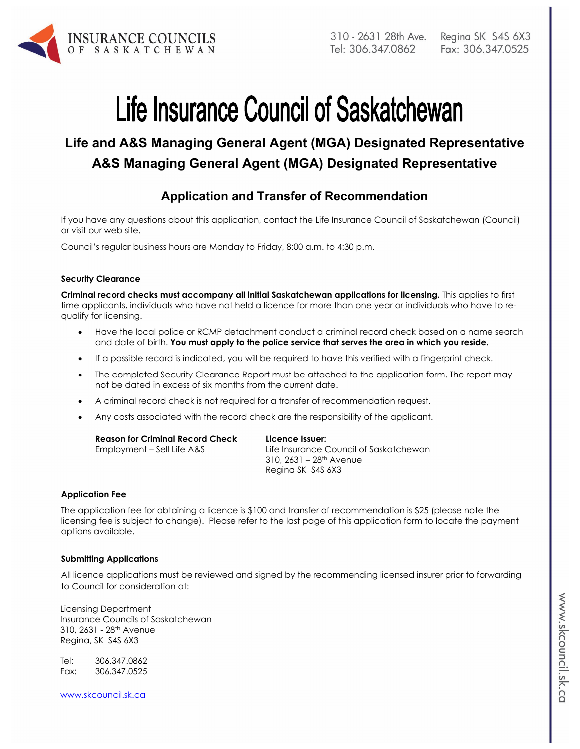

# Life Insurance Council of Saskatchewan

# **Life and A&S Managing General Agent (MGA) Designated Representative A&S Managing General Agent (MGA) Designated Representative**

# **Application and Transfer of Recommendation**

If you have any questions about this application, contact the Life Insurance Council of Saskatchewan (Council) or visit our web site.

Council's regular business hours are Monday to Friday, 8:00 a.m. to 4:30 p.m.

#### **Security Clearance**

**Criminal record checks must accompany all initial Saskatchewan applications for licensing.** This applies to first time applicants, individuals who have not held a licence for more than one year or individuals who have to requalify for licensing.

- Have the local police or RCMP detachment conduct a criminal record check based on a name search and date of birth. **You must apply to the police service that serves the area in which you reside.**
- If a possible record is indicated, you will be required to have this verified with a fingerprint check.
- The completed Security Clearance Report must be attached to the application form. The report may not be dated in excess of six months from the current date.
- A criminal record check is not required for a transfer of recommendation request.
- Any costs associated with the record check are the responsibility of the applicant.

| <b>Reason for Criminal Record Check</b> | Licence Issuer:                        |
|-----------------------------------------|----------------------------------------|
| Employment – Sell Life A&S              | Life Insurance Council of Saskatchewan |
|                                         | 310, 2631 – 28th Avenue                |
|                                         | Regina SK S4S 6X3                      |

#### **Application Fee**

The application fee for obtaining a licence is \$100 and transfer of recommendation is \$25 (please note the licensing fee is subject to change). Please refer to the last page of this application form to locate the payment options available.

#### **Submitting Applications**

All licence applications must be reviewed and signed by the recommending licensed insurer prior to forwarding to Council for consideration at:

Licensing Department Insurance Councils of Saskatchewan 310, 2631 - 28th Avenue Regina, SK S4S 6X3

Tel: 306.347.0862 Fax: 306.347.0525

www.skcouncil.sk.ca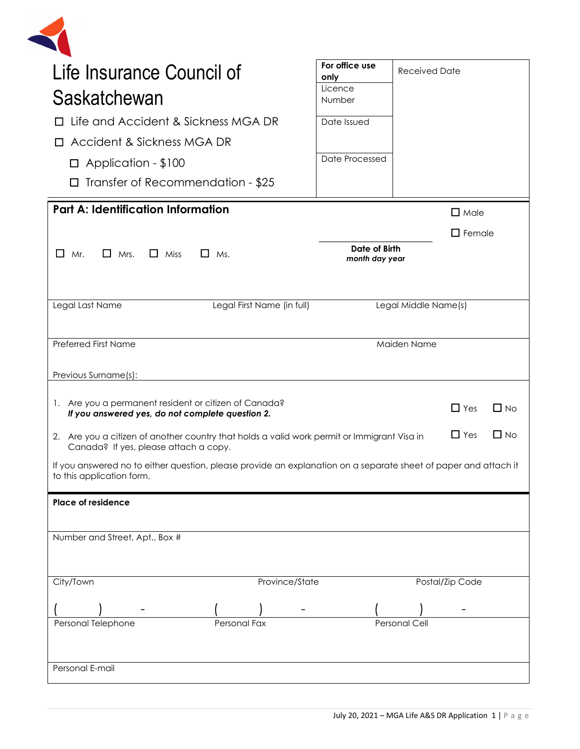| Life Insurance Council of                                                                                                                    | For office use<br>only | <b>Received Date</b> |                         |
|----------------------------------------------------------------------------------------------------------------------------------------------|------------------------|----------------------|-------------------------|
| Saskatchewan                                                                                                                                 | Licence<br>Number      |                      |                         |
| □ Life and Accident & Sickness MGA DR                                                                                                        | Date Issued            |                      |                         |
| Accident & Sickness MGA DR                                                                                                                   |                        |                      |                         |
|                                                                                                                                              | Date Processed         |                      |                         |
| $\Box$ Application - \$100                                                                                                                   |                        |                      |                         |
| $\Box$ Transfer of Recommendation - \$25                                                                                                     |                        |                      |                         |
| <b>Part A: Identification Information</b>                                                                                                    |                        |                      | $\Box$ Male             |
|                                                                                                                                              |                        |                      | $\Box$ Female           |
| $\Box$ Mrs.<br>$\Box$<br>Mr.<br>$\Box$ Miss<br>$\Box$ Ms.                                                                                    | Date of Birth          |                      |                         |
|                                                                                                                                              | month day year         |                      |                         |
|                                                                                                                                              |                        |                      |                         |
| Legal First Name (in full)<br>Legal Last Name                                                                                                |                        | Legal Middle Name(s) |                         |
|                                                                                                                                              |                        |                      |                         |
| Preferred First Name                                                                                                                         |                        | Maiden Name          |                         |
|                                                                                                                                              |                        |                      |                         |
| Previous Surname(s):                                                                                                                         |                        |                      |                         |
| 1. Are you a permanent resident or citizen of Canada?                                                                                        |                        |                      | $\Box$ No<br>$\Box$ Yes |
| If you answered yes, do not complete question 2.                                                                                             |                        |                      |                         |
|                                                                                                                                              |                        |                      |                         |
| 2. Are you a citizen of another country that holds a valid work permit or Immigrant Visa in                                                  |                        |                      | $\Box$ Yes<br>$\Box$ No |
| Canada? If yes, please attach a copy.                                                                                                        |                        |                      |                         |
|                                                                                                                                              |                        |                      |                         |
| If you answered no to either question, please provide an explanation on a separate sheet of paper and attach it<br>to this application form. |                        |                      |                         |
| <b>Place of residence</b>                                                                                                                    |                        |                      |                         |
| Number and Street, Apt., Box #                                                                                                               |                        |                      |                         |
|                                                                                                                                              |                        |                      |                         |
|                                                                                                                                              |                        |                      |                         |
| Province/State<br>City/Town                                                                                                                  |                        |                      | Postal/Zip Code         |
|                                                                                                                                              |                        |                      |                         |
| Personal Telephone<br>Personal Fax                                                                                                           |                        | <b>Personal Cell</b> |                         |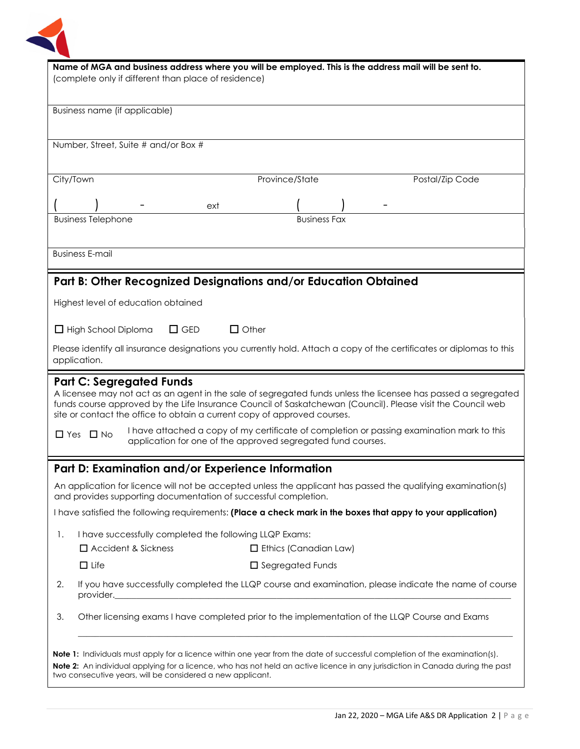

| Name of MGA and business address where you will be employed. This is the address mail will be sent to.<br>(complete only if different than place of residence)<br>Business name (if applicable)                                                                                                                                              |                                                                                                                                      |                              |                 |
|----------------------------------------------------------------------------------------------------------------------------------------------------------------------------------------------------------------------------------------------------------------------------------------------------------------------------------------------|--------------------------------------------------------------------------------------------------------------------------------------|------------------------------|-----------------|
|                                                                                                                                                                                                                                                                                                                                              |                                                                                                                                      |                              |                 |
|                                                                                                                                                                                                                                                                                                                                              | Number, Street, Suite # and/or Box #                                                                                                 |                              |                 |
| City/Town                                                                                                                                                                                                                                                                                                                                    |                                                                                                                                      | Province/State               | Postal/Zip Code |
|                                                                                                                                                                                                                                                                                                                                              | ext                                                                                                                                  |                              |                 |
|                                                                                                                                                                                                                                                                                                                                              | <b>Business Telephone</b>                                                                                                            | <b>Business Fax</b>          |                 |
|                                                                                                                                                                                                                                                                                                                                              | <b>Business E-mail</b>                                                                                                               |                              |                 |
|                                                                                                                                                                                                                                                                                                                                              | Part B: Other Recognized Designations and/or Education Obtained                                                                      |                              |                 |
|                                                                                                                                                                                                                                                                                                                                              | Highest level of education obtained                                                                                                  |                              |                 |
|                                                                                                                                                                                                                                                                                                                                              | $\Box$ GED<br>$\Box$ Other<br>$\Box$ High School Diploma                                                                             |                              |                 |
|                                                                                                                                                                                                                                                                                                                                              | Please identify all insurance designations you currently hold. Attach a copy of the certificates or diplomas to this<br>application. |                              |                 |
| <b>Part C: Segregated Funds</b><br>A licensee may not act as an agent in the sale of segregated funds unless the licensee has passed a segregated<br>funds course approved by the Life Insurance Council of Saskatchewan (Council). Please visit the Council web<br>site or contact the office to obtain a current copy of approved courses. |                                                                                                                                      |                              |                 |
| I have attached a copy of my certificate of completion or passing examination mark to this<br>$\Box$ Yes $\Box$ No<br>application for one of the approved segregated fund courses.                                                                                                                                                           |                                                                                                                                      |                              |                 |
|                                                                                                                                                                                                                                                                                                                                              | Part D: Examination and/or Experience Information                                                                                    |                              |                 |
| An application for licence will not be accepted unless the applicant has passed the qualifying examination(s)<br>and provides supporting documentation of successful completion.                                                                                                                                                             |                                                                                                                                      |                              |                 |
| I have satisfied the following requirements: (Place a check mark in the boxes that appy to your application)                                                                                                                                                                                                                                 |                                                                                                                                      |                              |                 |
| 1.                                                                                                                                                                                                                                                                                                                                           | I have successfully completed the following LLQP Exams:                                                                              |                              |                 |
|                                                                                                                                                                                                                                                                                                                                              | $\Box$ Accident & Sickness                                                                                                           | $\Box$ Ethics (Canadian Law) |                 |
|                                                                                                                                                                                                                                                                                                                                              | $\Box$ Life                                                                                                                          | $\Box$ Segregated Funds      |                 |
| 2.                                                                                                                                                                                                                                                                                                                                           | If you have successfully completed the LLQP course and examination, please indicate the name of course<br>provider.                  |                              |                 |
| 3.                                                                                                                                                                                                                                                                                                                                           | Other licensing exams I have completed prior to the implementation of the LLQP Course and Exams                                      |                              |                 |
| <b>Note 1:</b> Individuals must apply for a licence within one year from the date of successful completion of the examination(s).<br>Note 2: An individual applying for a licence, who has not held an active licence in any jurisdiction in Canada during the past<br>two consecutive years, will be considered a new applicant.            |                                                                                                                                      |                              |                 |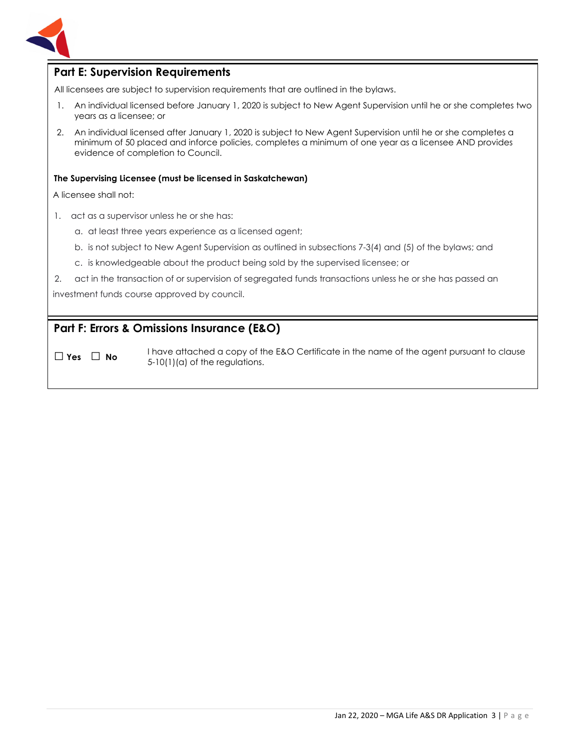

#### **Part E: Supervision Requirements**

All licensees are subject to supervision requirements that are outlined in the bylaws.

- 1. An individual licensed before January 1, 2020 is subject to New Agent Supervision until he or she completes two years as a licensee; or
- 2. An individual licensed after January 1, 2020 is subject to New Agent Supervision until he or she completes a minimum of 50 placed and inforce policies, completes a minimum of one year as a licensee AND provides evidence of completion to Council.

#### **The Supervising Licensee (must be licensed in Saskatchewan)**

A licensee shall not:

- 1. act as a supervisor unless he or she has:
	- a. at least three years experience as a licensed agent;
	- b. is not subject to New Agent Supervision as outlined in subsections 7-3(4) and (5) of the bylaws; and
	- c. is knowledgeable about the product being sold by the supervised licensee; or
- 2. act in the transaction of or supervision of segregated funds transactions unless he or she has passed an

investment funds course approved by council.

#### **Part F: Errors & Omissions Insurance (E&O)**

□ **Yes** □ **No**I have attached a copy of the E&O Certificate in the name of the agent pursuant to clause 5-10(1)(a) of the regulations.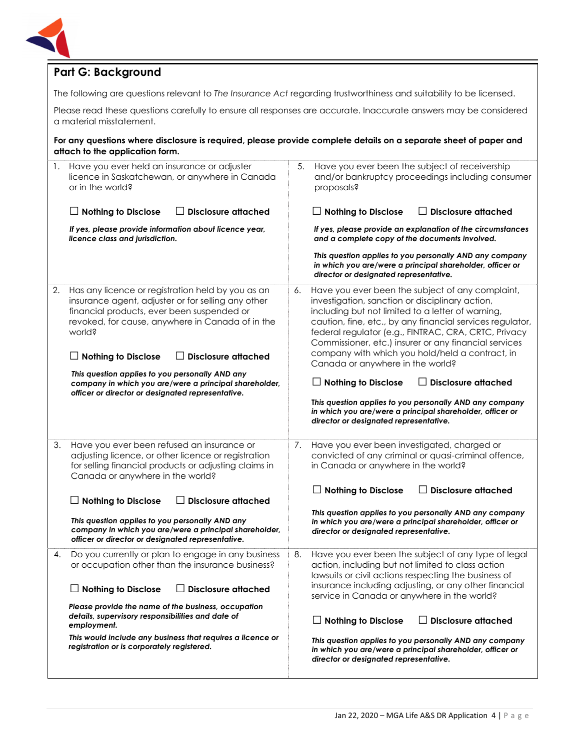

# **Part G: Background**

The following are questions relevant to *The Insurance Act* regarding trustworthiness and suitability to be licensed.

Please read these questions carefully to ensure all responses are accurate. Inaccurate answers may be considered a material misstatement.

**For any questions where disclosure is required, please provide complete details on a separate sheet of paper and attach to the application form.**

| 1. | Have you ever held an insurance or adjuster<br>licence in Saskatchewan, or anywhere in Canada<br>or in the world?                                                                                                                                                                                                                                                                                                                                 | 5. | Have you ever been the subject of receivership<br>and/or bankruptcy proceedings including consumer<br>proposals?                                                                                                                                                                                                                                                                                                                                                                                                                                                                                                                                                       |
|----|---------------------------------------------------------------------------------------------------------------------------------------------------------------------------------------------------------------------------------------------------------------------------------------------------------------------------------------------------------------------------------------------------------------------------------------------------|----|------------------------------------------------------------------------------------------------------------------------------------------------------------------------------------------------------------------------------------------------------------------------------------------------------------------------------------------------------------------------------------------------------------------------------------------------------------------------------------------------------------------------------------------------------------------------------------------------------------------------------------------------------------------------|
|    | <b>Nothing to Disclose</b><br><b>Disclosure attached</b>                                                                                                                                                                                                                                                                                                                                                                                          |    | <b>Disclosure attached</b><br>$\Box$ Nothing to Disclose<br>$\mathsf{L}$                                                                                                                                                                                                                                                                                                                                                                                                                                                                                                                                                                                               |
|    | If yes, please provide information about licence year,<br>licence class and jurisdiction.                                                                                                                                                                                                                                                                                                                                                         |    | If yes, please provide an explanation of the circumstances<br>and a complete copy of the documents involved.                                                                                                                                                                                                                                                                                                                                                                                                                                                                                                                                                           |
|    |                                                                                                                                                                                                                                                                                                                                                                                                                                                   |    | This question applies to you personally AND any company<br>in which you are/were a principal shareholder, officer or<br>director or designated representative.                                                                                                                                                                                                                                                                                                                                                                                                                                                                                                         |
| 2. | Has any licence or registration held by you as an<br>insurance agent, adjuster or for selling any other<br>financial products, ever been suspended or<br>revoked, for cause, anywhere in Canada of in the<br>world?<br><b>Nothing to Disclose</b><br><b>Disclosure attached</b><br>This question applies to you personally AND any<br>company in which you are/were a principal shareholder,<br>officer or director or designated representative. | 6. | Have you ever been the subject of any complaint,<br>investigation, sanction or disciplinary action,<br>including but not limited to a letter of warning,<br>caution, fine, etc., by any financial services regulator,<br>federal regulator (e.g., FINTRAC, CRA, CRTC, Privacy<br>Commissioner, etc.) insurer or any financial services<br>company with which you hold/held a contract, in<br>Canada or anywhere in the world?<br>$\Box$ Nothing to Disclose<br><b>Disclosure attached</b><br>$\perp$<br>This question applies to you personally AND any company<br>in which you are/were a principal shareholder, officer or<br>director or designated representative. |
| 3. | Have you ever been refused an insurance or<br>adjusting licence, or other licence or registration<br>for selling financial products or adjusting claims in<br>Canada or anywhere in the world?<br><b>Disclosure attached</b><br><b>Nothing to Disclose</b><br>This question applies to you personally AND any<br>company in which you are/were a principal shareholder,<br>officer or director or designated representative.                      | 7. | Have you ever been investigated, charged or<br>convicted of any criminal or quasi-criminal offence,<br>in Canada or anywhere in the world?<br><b>Disclosure attached</b><br>$\Box$ Nothing to Disclose<br>$\Box$<br>This question applies to you personally AND any company<br>in which you are/were a principal shareholder, officer or<br>director or designated representative.                                                                                                                                                                                                                                                                                     |
| 4. | Do you currently or plan to engage in any business<br>or occupation other than the insurance business?<br><b>Disclosure attached</b><br>$\Box$ Nothing to Disclose<br>Please provide the name of the business, occupation<br>details, supervisory responsibilities and date of<br>employment.<br>This would include any business that requires a licence or<br>registration or is corporately registered.                                         | 8. | Have you ever been the subject of any type of legal<br>action, including but not limited to class action<br>lawsuits or civil actions respecting the business of<br>insurance including adjusting, or any other financial<br>service in Canada or anywhere in the world?<br>$\Box$ Nothing to Disclose<br><b>Disclosure attached</b><br>ΙI<br>This question applies to you personally AND any company<br>in which you are/were a principal shareholder, officer or<br>director or designated representative.                                                                                                                                                           |
|    |                                                                                                                                                                                                                                                                                                                                                                                                                                                   |    |                                                                                                                                                                                                                                                                                                                                                                                                                                                                                                                                                                                                                                                                        |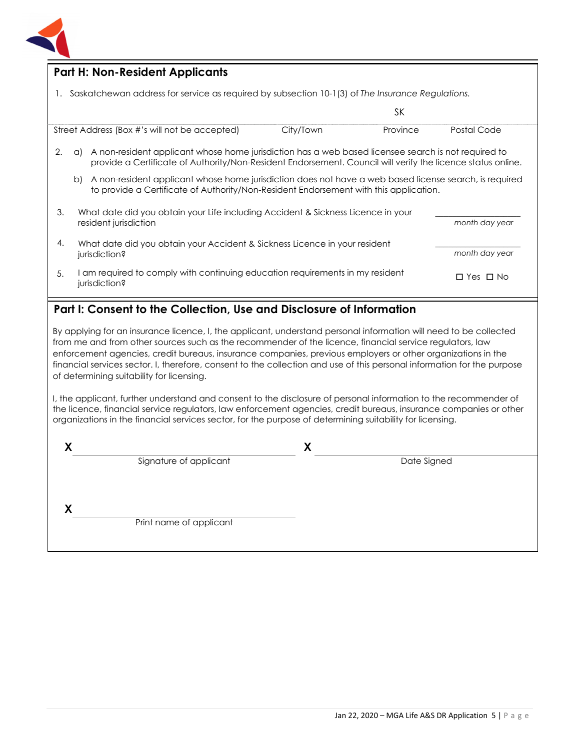

#### **Part H: Non-Resident Applicants**

1. Saskatchewan address for service as required by subsection 10-1(3) of *The Insurance Regulations.*

|    |                                                                                                                                                                                                      |                                                                                                                                                                                                                    |           | SΚ       |                      |
|----|------------------------------------------------------------------------------------------------------------------------------------------------------------------------------------------------------|--------------------------------------------------------------------------------------------------------------------------------------------------------------------------------------------------------------------|-----------|----------|----------------------|
|    |                                                                                                                                                                                                      | Street Address (Box #'s will not be accepted)                                                                                                                                                                      | City/Town | Province | Postal Code          |
| 2. | a)                                                                                                                                                                                                   | A non-resident applicant whose home jurisdiction has a web based licensee search is not required to<br>provide a Certificate of Authority/Non-Resident Endorsement. Council will verify the licence status online. |           |          |                      |
|    | A non-resident applicant whose home jurisdiction does not have a web based license search, is required<br>b<br>to provide a Certificate of Authority/Non-Resident Endorsement with this application. |                                                                                                                                                                                                                    |           |          |                      |
| 3. |                                                                                                                                                                                                      | What date did you obtain your Life including Accident & Sickness Licence in your<br>resident jurisdiction                                                                                                          |           |          | month day year       |
| 4. |                                                                                                                                                                                                      | What date did you obtain your Accident & Sickness Licence in your resident<br>jurisdiction?                                                                                                                        |           |          | month day year       |
| 5. |                                                                                                                                                                                                      | I am required to comply with continuing education requirements in my resident<br>jurisdiction?                                                                                                                     |           |          | $\Box$ Yes $\Box$ No |

# **Part I: Consent to the Collection, Use and Disclosure of Information**

By applying for an insurance licence, I, the applicant, understand personal information will need to be collected from me and from other sources such as the recommender of the licence, financial service regulators, law enforcement agencies, credit bureaus, insurance companies, previous employers or other organizations in the financial services sector. I, therefore, consent to the collection and use of this personal information for the purpose of determining suitability for licensing.

I, the applicant, further understand and consent to the disclosure of personal information to the recommender of the licence, financial service regulators, law enforcement agencies, credit bureaus, insurance companies or other organizations in the financial services sector, for the purpose of determining suitability for licensing.

|                         | ↗ |             |  |
|-------------------------|---|-------------|--|
| Signature of applicant  |   | Date Signed |  |
|                         |   |             |  |
|                         |   |             |  |
|                         |   |             |  |
| Print name of applicant |   |             |  |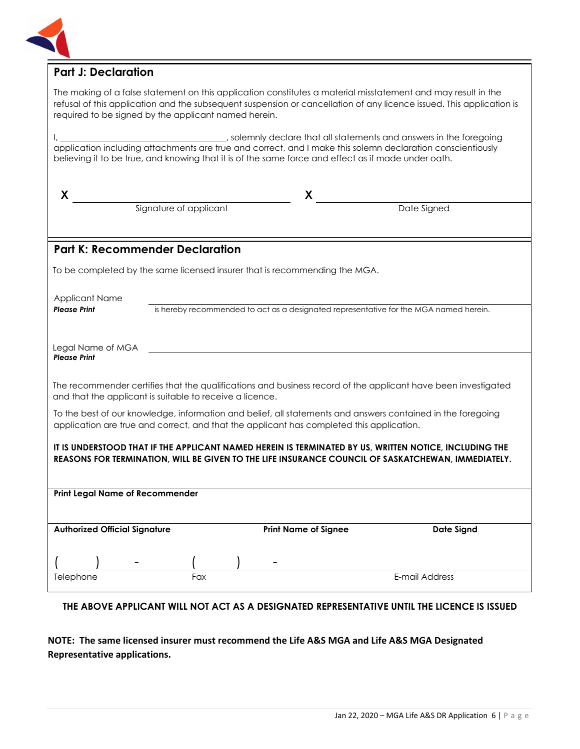

## **Part J: Declaration**

The making of a false statement on this application constitutes a material misstatement and may result in the refusal of this application and the subsequent suspension or cancellation of any licence issued. This application is required to be signed by the applicant named herein.

I, \_\_\_\_\_\_\_\_\_\_\_\_\_\_\_\_\_\_\_\_\_\_\_\_\_\_\_\_\_\_\_\_\_\_\_\_\_\_\_, solemnly declare that all statements and answers in the foregoing application including attachments are true and correct, and I make this solemn declaration conscientiously believing it to be true, and knowing that it is of the same force and effect as if made under oath.

| X                                                                                                                                                                                                            |                                                                                       | X                           |                                                                                                               |  |
|--------------------------------------------------------------------------------------------------------------------------------------------------------------------------------------------------------------|---------------------------------------------------------------------------------------|-----------------------------|---------------------------------------------------------------------------------------------------------------|--|
|                                                                                                                                                                                                              | Signature of applicant                                                                |                             | Date Signed                                                                                                   |  |
|                                                                                                                                                                                                              |                                                                                       |                             |                                                                                                               |  |
| <b>Part K: Recommender Declaration</b>                                                                                                                                                                       |                                                                                       |                             |                                                                                                               |  |
| To be completed by the same licensed insurer that is recommending the MGA.                                                                                                                                   |                                                                                       |                             |                                                                                                               |  |
| <b>Applicant Name</b>                                                                                                                                                                                        |                                                                                       |                             |                                                                                                               |  |
| <b>Please Print</b>                                                                                                                                                                                          | is hereby recommended to act as a designated representative for the MGA named herein. |                             |                                                                                                               |  |
|                                                                                                                                                                                                              |                                                                                       |                             |                                                                                                               |  |
| Legal Name of MGA<br><b>Please Print</b>                                                                                                                                                                     |                                                                                       |                             |                                                                                                               |  |
|                                                                                                                                                                                                              |                                                                                       |                             |                                                                                                               |  |
|                                                                                                                                                                                                              | and that the applicant is suitable to receive a licence.                              |                             | The recommender certifies that the qualifications and business record of the applicant have been investigated |  |
| To the best of our knowledge, information and belief, all statements and answers contained in the foregoing<br>application are true and correct, and that the applicant has completed this application.      |                                                                                       |                             |                                                                                                               |  |
| IT IS UNDERSTOOD THAT IF THE APPLICANT NAMED HEREIN IS TERMINATED BY US, WRITTEN NOTICE, INCLUDING THE<br>REASONS FOR TERMINATION, WILL BE GIVEN TO THE LIFE INSURANCE COUNCIL OF SASKATCHEWAN, IMMEDIATELY. |                                                                                       |                             |                                                                                                               |  |
|                                                                                                                                                                                                              |                                                                                       |                             |                                                                                                               |  |
| <b>Print Legal Name of Recommender</b>                                                                                                                                                                       |                                                                                       |                             |                                                                                                               |  |
|                                                                                                                                                                                                              |                                                                                       |                             |                                                                                                               |  |
| <b>Authorized Official Signature</b>                                                                                                                                                                         |                                                                                       | <b>Print Name of Signee</b> | <b>Date Signd</b>                                                                                             |  |
|                                                                                                                                                                                                              |                                                                                       |                             |                                                                                                               |  |
|                                                                                                                                                                                                              |                                                                                       |                             |                                                                                                               |  |
| Telephone                                                                                                                                                                                                    | Fax                                                                                   |                             | E-mail Address                                                                                                |  |

#### **THE ABOVE APPLICANT WILL NOT ACT AS A DESIGNATED REPRESENTATIVE UNTIL THE LICENCE IS ISSUED**

#### **NOTE: The same licensed insurer must recommend the Life A&S MGA and Life A&S MGA Designated Representative applications.**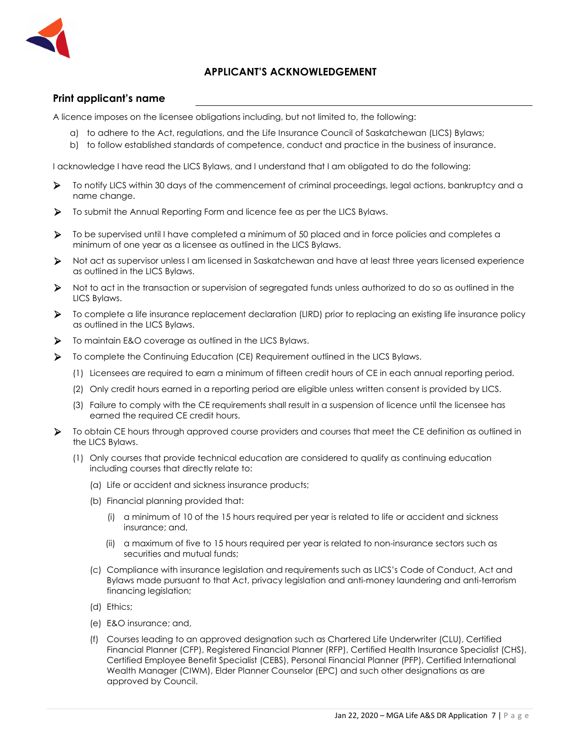

#### **APPLICANT'S ACKNOWLEDGEMENT**

#### **Print applicant's name**

A licence imposes on the licensee obligations including, but not limited to, the following:

- a) to adhere to the Act, regulations, and the Life Insurance Council of Saskatchewan (LICS) Bylaws;
- b) to follow established standards of competence, conduct and practice in the business of insurance.

I acknowledge I have read the LICS Bylaws, and I understand that I am obligated to do the following:

- To notify LICS within 30 days of the commencement of criminal proceedings, legal actions, bankruptcy and a name change.
- To submit the Annual Reporting Form and licence fee as per the LICS Bylaws.
- To be supervised until I have completed a minimum of 50 placed and in force policies and completes a minimum of one year as a licensee as outlined in the LICS Bylaws.
- Not act as supervisor unless I am licensed in Saskatchewan and have at least three years licensed experience as outlined in the LICS Bylaws.
- Not to act in the transaction or supervision of segregated funds unless authorized to do so as outlined in the LICS Bylaws.
- To complete a life insurance replacement declaration (LIRD) prior to replacing an existing life insurance policy as outlined in the LICS Bylaws.
- $\triangleright$  To maintain E&O coverage as outlined in the LICS Bylaws.
- To complete the Continuing Education (CE) Requirement outlined in the LICS Bylaws.
	- (1) Licensees are required to earn a minimum of fifteen credit hours of CE in each annual reporting period.
	- (2) Only credit hours earned in a reporting period are eligible unless written consent is provided by LICS.
	- (3) Failure to comply with the CE requirements shall result in a suspension of licence until the licensee has earned the required CE credit hours.
- To obtain CE hours through approved course providers and courses that meet the CE definition as outlined in the LICS Bylaws.
	- (1) Only courses that provide technical education are considered to qualify as continuing education including courses that directly relate to:
		- (a) Life or accident and sickness insurance products;
		- (b) Financial planning provided that:
			- (i) a minimum of 10 of the 15 hours required per year is related to life or accident and sickness insurance; and,
			- (ii) a maximum of five to 15 hours required per year is related to non-insurance sectors such as securities and mutual funds;
		- (c) Compliance with insurance legislation and requirements such as LICS's Code of Conduct, Act and Bylaws made pursuant to that Act, privacy legislation and anti-money laundering and anti-terrorism financing legislation;
		- (d) Ethics;
		- (e) E&O insurance; and,
		- (f) Courses leading to an approved designation such as Chartered Life Underwriter (CLU), Certified Financial Planner (CFP), Registered Financial Planner (RFP), Certified Health Insurance Specialist (CHS), Certified Employee Benefit Specialist (CEBS), Personal Financial Planner (PFP), Certified International Wealth Manager (CIWM), Elder Planner Counselor (EPC) and such other designations as are approved by Council.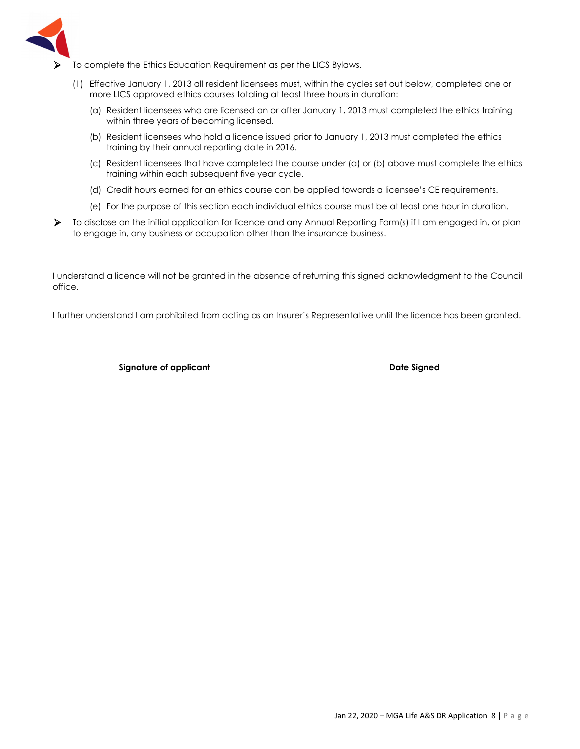

- $\triangleright$  To complete the Ethics Education Requirement as per the LICS Bylaws.
	- (1) Effective January 1, 2013 all resident licensees must, within the cycles set out below, completed one or more LICS approved ethics courses totaling at least three hours in duration:
		- (a) Resident licensees who are licensed on or after January 1, 2013 must completed the ethics training within three years of becoming licensed.
		- (b) Resident licensees who hold a licence issued prior to January 1, 2013 must completed the ethics training by their annual reporting date in 2016.
		- (c) Resident licensees that have completed the course under (a) or (b) above must complete the ethics training within each subsequent five year cycle.
		- (d) Credit hours earned for an ethics course can be applied towards a licensee's CE requirements.
		- (e) For the purpose of this section each individual ethics course must be at least one hour in duration.
- To disclose on the initial application for licence and any Annual Reporting Form(s) if I am engaged in, or plan to engage in, any business or occupation other than the insurance business.

I understand a licence will not be granted in the absence of returning this signed acknowledgment to the Council office.

I further understand I am prohibited from acting as an Insurer's Representative until the licence has been granted.

**Signature of applicant Case Control Control of Applicant Case Control Control Control Control Control Control Control Control Control Control Control Control Control Control Control Control Control Control Control Control**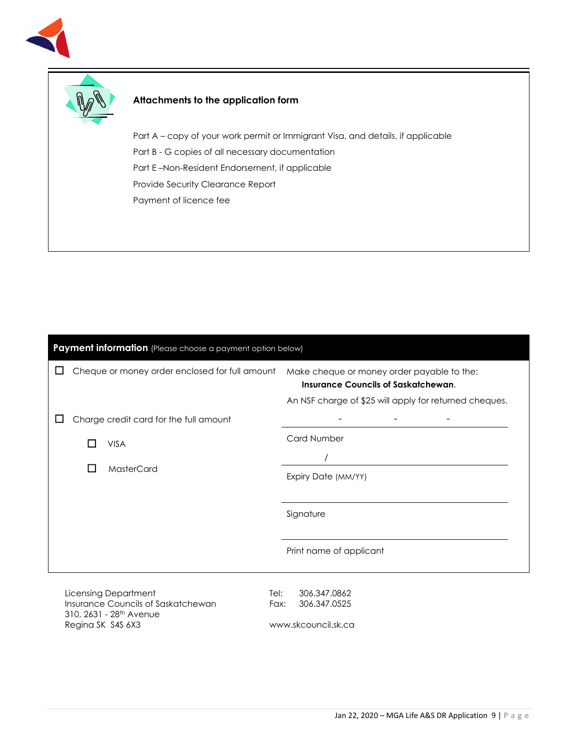



### **Attachments to the application form**

Part A – copy of your work permit or Immigrant Visa, and details, if applicable Part B - G copies of all necessary documentation Part E –Non-Resident Endorsement, if applicable Provide Security Clearance Report Payment of licence fee

| Payment information (Please choose a payment option below)                                                                                    |                                                                                                                                                    |  |  |
|-----------------------------------------------------------------------------------------------------------------------------------------------|----------------------------------------------------------------------------------------------------------------------------------------------------|--|--|
| Cheque or money order enclosed for full amount<br>⊔                                                                                           | Make cheque or money order payable to the:<br><b>Insurance Councils of Saskatchewan.</b><br>An NSF charge of \$25 will apply for returned cheques. |  |  |
| Charge credit card for the full amount<br>ப                                                                                                   |                                                                                                                                                    |  |  |
| <b>VISA</b><br>I.                                                                                                                             | <b>Card Number</b>                                                                                                                                 |  |  |
| MasterCard<br>$\blacksquare$                                                                                                                  |                                                                                                                                                    |  |  |
|                                                                                                                                               | Expiry Date (MM/YY)                                                                                                                                |  |  |
|                                                                                                                                               | Signature                                                                                                                                          |  |  |
|                                                                                                                                               | Print name of applicant                                                                                                                            |  |  |
| <b>Licensing Department</b><br>Tel:<br>Insurance Councils of Saskatchewan<br>Fax:<br>310, 2631 - 28 <sup>th</sup> Avenue<br>Regina SK S4S 6X3 | 306.347.0862<br>306.347.0525<br>www.skcouncil.sk.ca                                                                                                |  |  |